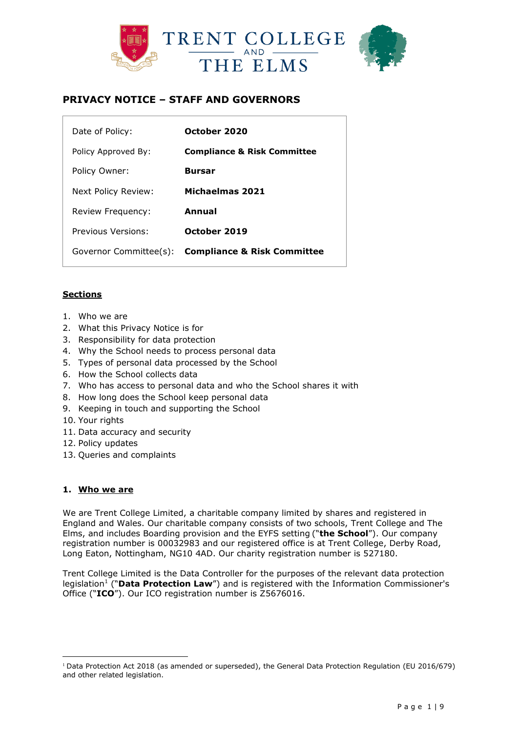



# **PRIVACY NOTICE – STAFF AND GOVERNORS**

| Date of Policy:        | October 2020                           |
|------------------------|----------------------------------------|
| Policy Approved By:    | <b>Compliance &amp; Risk Committee</b> |
| Policy Owner:          | <b>Bursar</b>                          |
| Next Policy Review:    | Michaelmas 2021                        |
| Review Frequency:      | Annual                                 |
| Previous Versions:     | October 2019                           |
| Governor Committee(s): | <b>Compliance &amp; Risk Committee</b> |

# **Sections**

- 1. Who we are
- 2. What this Privacy Notice is for
- 3. Responsibility for data protection
- 4. Why the School needs to process personal data
- 5. Types of personal data processed by the School
- 6. How the School collects data
- 7. Who has access to personal data and who the School shares it with
- 8. How long does the School keep personal data
- 9. Keeping in touch and supporting the School
- 10. Your rights
- 11. Data accuracy and security
- 12. Policy updates
- 13. Queries and complaints

# **1. Who we are**

 $\overline{a}$ 

We are Trent College Limited, a charitable company limited by shares and registered in England and Wales. Our charitable company consists of two schools, Trent College and The Elms, and includes Boarding provision and the EYFS setting ("**the School**"). Our company registration number is 00032983 and our registered office is at Trent College, Derby Road, Long Eaton, Nottingham, NG10 4AD. Our charity registration number is 527180.

Trent College Limited is the Data Controller for the purposes of the relevant data protection legislation<sup>1</sup> ("Data Protection Law") and is registered with the Information Commissioner's Office ("**ICO**"). Our ICO registration number is Z5676016.

<sup>&</sup>lt;sup>1</sup> Data Protection Act 2018 (as amended or superseded), the General Data Protection Regulation (EU 2016/679) and other related legislation.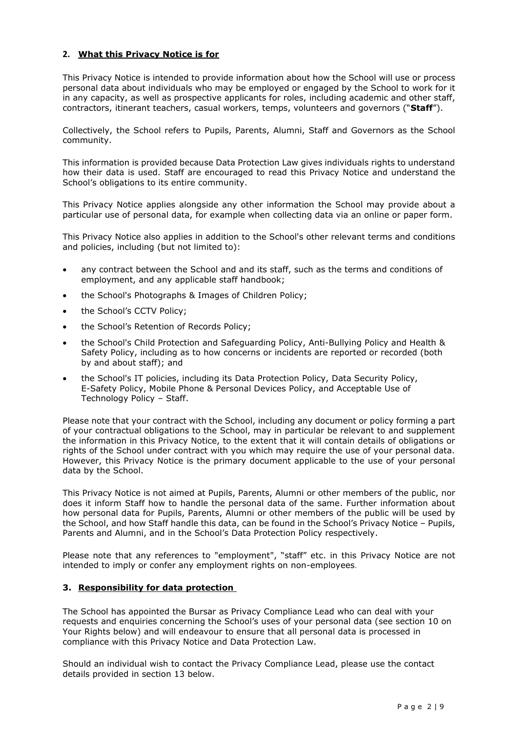# **2. What this Privacy Notice is for**

This Privacy Notice is intended to provide information about how the School will use or process personal data about individuals who may be employed or engaged by the School to work for it in any capacity, as well as prospective applicants for roles, including academic and other staff, contractors, itinerant teachers, casual workers, temps, volunteers and governors ("**Staff**").

Collectively, the School refers to Pupils, Parents, Alumni, Staff and Governors as the School community.

This information is provided because Data Protection Law gives individuals rights to understand how their data is used. Staff are encouraged to read this Privacy Notice and understand the School's obligations to its entire community.

This Privacy Notice applies alongside any other information the School may provide about a particular use of personal data, for example when collecting data via an online or paper form.

This Privacy Notice also applies in addition to the School's other relevant terms and conditions and policies, including (but not limited to):

- any contract between the School and and its staff, such as the terms and conditions of employment, and any applicable staff handbook;
- the School's Photographs & Images of Children Policy;
- the School's CCTV Policy;
- the School's Retention of Records Policy;
- the School's Child Protection and Safeguarding Policy, Anti-Bullying Policy and Health & Safety Policy, including as to how concerns or incidents are reported or recorded (both by and about staff); and
- the School's IT policies, including its Data Protection Policy, Data Security Policy, E-Safety Policy, Mobile Phone & Personal Devices Policy, and Acceptable Use of Technology Policy – Staff.

Please note that your contract with the School, including any document or policy forming a part of your contractual obligations to the School, may in particular be relevant to and supplement the information in this Privacy Notice, to the extent that it will contain details of obligations or rights of the School under contract with you which may require the use of your personal data. However, this Privacy Notice is the primary document applicable to the use of your personal data by the School.

This Privacy Notice is not aimed at Pupils, Parents, Alumni or other members of the public, nor does it inform Staff how to handle the personal data of the same. Further information about how personal data for Pupils, Parents, Alumni or other members of the public will be used by the School, and how Staff handle this data, can be found in the School's Privacy Notice – Pupils, Parents and Alumni, and in the School's Data Protection Policy respectively.

Please note that any references to "employment", "staff" etc. in this Privacy Notice are not intended to imply or confer any employment rights on non-employees.

#### **3. Responsibility for data protection**

The School has appointed the Bursar as Privacy Compliance Lead who can deal with your requests and enquiries concerning the School's uses of your personal data (see section 10 on Your Rights below) and will endeavour to ensure that all personal data is processed in compliance with this Privacy Notice and Data Protection Law.

Should an individual wish to contact the Privacy Compliance Lead, please use the contact details provided in section 13 below.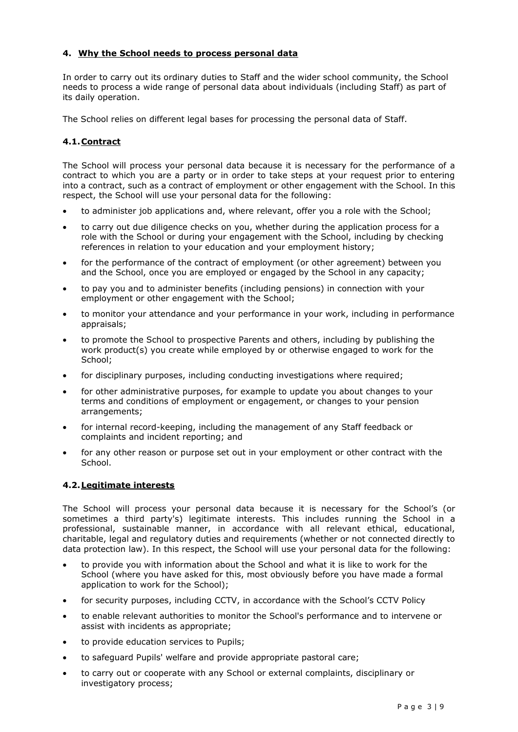# **4. Why the School needs to process personal data**

In order to carry out its ordinary duties to Staff and the wider school community, the School needs to process a wide range of personal data about individuals (including Staff) as part of its daily operation.

The School relies on different legal bases for processing the personal data of Staff.

# **4.1.Contract**

The School will process your personal data because it is necessary for the performance of a contract to which you are a party or in order to take steps at your request prior to entering into a contract, such as a contract of employment or other engagement with the School. In this respect, the School will use your personal data for the following:

- to administer job applications and, where relevant, offer you a role with the School;
- to carry out due diligence checks on you, whether during the application process for a role with the School or during your engagement with the School, including by checking references in relation to your education and your employment history;
- for the performance of the contract of employment (or other agreement) between you and the School, once you are employed or engaged by the School in any capacity;
- to pay you and to administer benefits (including pensions) in connection with your employment or other engagement with the School;
- to monitor your attendance and your performance in your work, including in performance appraisals;
- to promote the School to prospective Parents and others, including by publishing the work product(s) you create while employed by or otherwise engaged to work for the School;
- for disciplinary purposes, including conducting investigations where required;
- for other administrative purposes, for example to update you about changes to your terms and conditions of employment or engagement, or changes to your pension arrangements;
- for internal record-keeping, including the management of any Staff feedback or complaints and incident reporting; and
- for any other reason or purpose set out in your employment or other contract with the School.

# **4.2.Legitimate interests**

The School will process your personal data because it is necessary for the School's (or sometimes a third party's) legitimate interests. This includes running the School in a professional, sustainable manner, in accordance with all relevant ethical, educational, charitable, legal and regulatory duties and requirements (whether or not connected directly to data protection law). In this respect, the School will use your personal data for the following:

- to provide you with information about the School and what it is like to work for the School (where you have asked for this, most obviously before you have made a formal application to work for the School);
- for security purposes, including CCTV, in accordance with the School's CCTV Policy
- to enable relevant authorities to monitor the School's performance and to intervene or assist with incidents as appropriate;
- to provide education services to Pupils;
- to safeguard Pupils' welfare and provide appropriate pastoral care;
- to carry out or cooperate with any School or external complaints, disciplinary or investigatory process;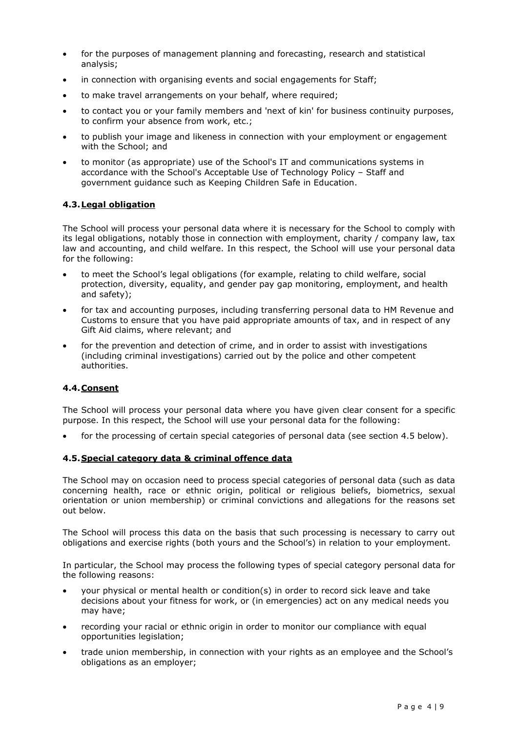- for the purposes of management planning and forecasting, research and statistical analysis;
- in connection with organising events and social engagements for Staff;
- to make travel arrangements on your behalf, where required;
- to contact you or your family members and 'next of kin' for business continuity purposes, to confirm your absence from work, etc.;
- to publish your image and likeness in connection with your employment or engagement with the School; and
- to monitor (as appropriate) use of the School's IT and communications systems in accordance with the School's Acceptable Use of Technology Policy – Staff and government guidance such as Keeping Children Safe in Education.

#### **4.3.Legal obligation**

The School will process your personal data where it is necessary for the School to comply with its legal obligations, notably those in connection with employment, charity / company law, tax law and accounting, and child welfare. In this respect, the School will use your personal data for the following:

- to meet the School's legal obligations (for example, relating to child welfare, social protection, diversity, equality, and gender pay gap monitoring, employment, and health and safety);
- for tax and accounting purposes, including transferring personal data to HM Revenue and Customs to ensure that you have paid appropriate amounts of tax, and in respect of any Gift Aid claims, where relevant; and
- for the prevention and detection of crime, and in order to assist with investigations (including criminal investigations) carried out by the police and other competent authorities.

#### **4.4.Consent**

The School will process your personal data where you have given clear consent for a specific purpose. In this respect, the School will use your personal data for the following:

for the processing of certain special categories of personal data (see section 4.5 below).

#### **4.5.Special category data & criminal offence data**

The School may on occasion need to process special categories of personal data (such as data concerning health, race or ethnic origin, political or religious beliefs, biometrics, sexual orientation or union membership) or criminal convictions and allegations for the reasons set out below.

The School will process this data on the basis that such processing is necessary to carry out obligations and exercise rights (both yours and the School's) in relation to your employment.

In particular, the School may process the following types of special category personal data for the following reasons:

- your physical or mental health or condition(s) in order to record sick leave and take decisions about your fitness for work, or (in emergencies) act on any medical needs you may have;
- recording your racial or ethnic origin in order to monitor our compliance with equal opportunities legislation;
- trade union membership, in connection with your rights as an employee and the School's obligations as an employer;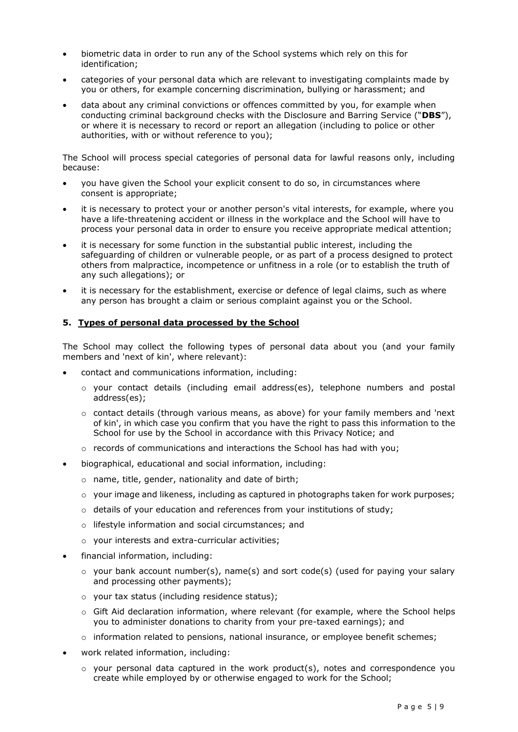- biometric data in order to run any of the School systems which rely on this for identification;
- categories of your personal data which are relevant to investigating complaints made by you or others, for example concerning discrimination, bullying or harassment; and
- data about any criminal convictions or offences committed by you, for example when conducting criminal background checks with the Disclosure and Barring Service ("**DBS**"), or where it is necessary to record or report an allegation (including to police or other authorities, with or without reference to you);

The School will process special categories of personal data for lawful reasons only, including because:

- you have given the School your explicit consent to do so, in circumstances where consent is appropriate;
- it is necessary to protect your or another person's vital interests, for example, where you have a life-threatening accident or illness in the workplace and the School will have to process your personal data in order to ensure you receive appropriate medical attention;
- it is necessary for some function in the substantial public interest, including the safeguarding of children or vulnerable people, or as part of a process designed to protect others from malpractice, incompetence or unfitness in a role (or to establish the truth of any such allegations); or
- it is necessary for the establishment, exercise or defence of legal claims, such as where any person has brought a claim or serious complaint against you or the School.

# **5. Types of personal data processed by the School**

The School may collect the following types of personal data about you (and your family members and 'next of kin', where relevant):

- contact and communications information, including:
	- $\circ$  your contact details (including email address(es), telephone numbers and postal address(es);
	- $\circ$  contact details (through various means, as above) for your family members and 'next of kin', in which case you confirm that you have the right to pass this information to the School for use by the School in accordance with this Privacy Notice; and
	- $\circ$  records of communications and interactions the School has had with you;
- biographical, educational and social information, including:
	- o name, title, gender, nationality and date of birth;
	- $\circ$  vour image and likeness, including as captured in photographs taken for work purposes;
	- o details of your education and references from your institutions of study;
	- o lifestyle information and social circumstances; and
	- o your interests and extra-curricular activities;
- financial information, including:
	- $\circ$  your bank account number(s), name(s) and sort code(s) (used for paying your salary and processing other payments);
	- o your tax status (including residence status);
	- $\circ$  Gift Aid declaration information, where relevant (for example, where the School helps you to administer donations to charity from your pre-taxed earnings); and
	- $\circ$  information related to pensions, national insurance, or employee benefit schemes;
- work related information, including:
	- o your personal data captured in the work product(s), notes and correspondence you create while employed by or otherwise engaged to work for the School;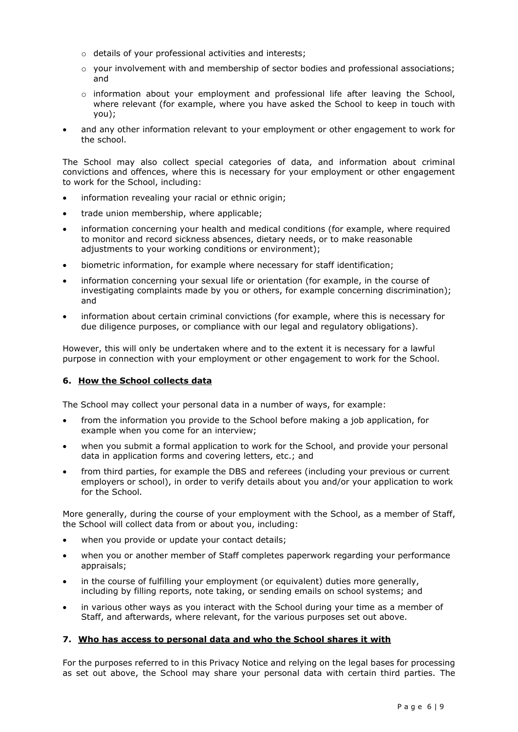- o details of your professional activities and interests;
- $\circ$  your involvement with and membership of sector bodies and professional associations; and
- $\circ$  information about your employment and professional life after leaving the School, where relevant (for example, where you have asked the School to keep in touch with you);
- and any other information relevant to your employment or other engagement to work for the school.

The School may also collect special categories of data, and information about criminal convictions and offences, where this is necessary for your employment or other engagement to work for the School, including:

- information revealing your racial or ethnic origin;
- trade union membership, where applicable;
- information concerning your health and medical conditions (for example, where required to monitor and record sickness absences, dietary needs, or to make reasonable adjustments to your working conditions or environment);
- biometric information, for example where necessary for staff identification;
- information concerning your sexual life or orientation (for example, in the course of investigating complaints made by you or others, for example concerning discrimination); and
- information about certain criminal convictions (for example, where this is necessary for due diligence purposes, or compliance with our legal and regulatory obligations).

However, this will only be undertaken where and to the extent it is necessary for a lawful purpose in connection with your employment or other engagement to work for the School.

# **6. How the School collects data**

The School may collect your personal data in a number of ways, for example:

- from the information you provide to the School before making a job application, for example when you come for an interview;
- when you submit a formal application to work for the School, and provide your personal data in application forms and covering letters, etc.; and
- from third parties, for example the DBS and referees (including your previous or current employers or school), in order to verify details about you and/or your application to work for the School.

More generally, during the course of your employment with the School, as a member of Staff, the School will collect data from or about you, including:

- when you provide or update your contact details;
- when you or another member of Staff completes paperwork regarding your performance appraisals;
- in the course of fulfilling your employment (or equivalent) duties more generally, including by filling reports, note taking, or sending emails on school systems; and
- in various other ways as you interact with the School during your time as a member of Staff, and afterwards, where relevant, for the various purposes set out above.

# **7. Who has access to personal data and who the School shares it with**

For the purposes referred to in this Privacy Notice and relying on the legal bases for processing as set out above, the School may share your personal data with certain third parties. The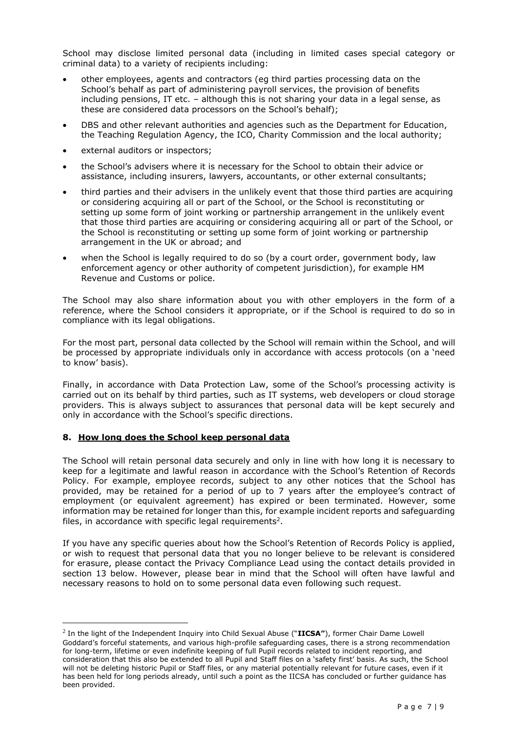School may disclose limited personal data (including in limited cases special category or criminal data) to a variety of recipients including:

- other employees, agents and contractors (eg third parties processing data on the School's behalf as part of administering payroll services, the provision of benefits including pensions, IT etc. – although this is not sharing your data in a legal sense, as these are considered data processors on the School's behalf);
- DBS and other relevant authorities and agencies such as the Department for Education, the Teaching Regulation Agency, the ICO, Charity Commission and the local authority;
- external auditors or inspectors;
- the School's advisers where it is necessary for the School to obtain their advice or assistance, including insurers, lawyers, accountants, or other external consultants;
- third parties and their advisers in the unlikely event that those third parties are acquiring or considering acquiring all or part of the School, or the School is reconstituting or setting up some form of joint working or partnership arrangement in the unlikely event that those third parties are acquiring or considering acquiring all or part of the School, or the School is reconstituting or setting up some form of joint working or partnership arrangement in the UK or abroad; and
- when the School is legally required to do so (by a court order, government body, law enforcement agency or other authority of competent jurisdiction), for example HM Revenue and Customs or police.

The School may also share information about you with other employers in the form of a reference, where the School considers it appropriate, or if the School is required to do so in compliance with its legal obligations.

For the most part, personal data collected by the School will remain within the School, and will be processed by appropriate individuals only in accordance with access protocols (on a 'need to know' basis).

Finally, in accordance with Data Protection Law, some of the School's processing activity is carried out on its behalf by third parties, such as IT systems, web developers or cloud storage providers. This is always subject to assurances that personal data will be kept securely and only in accordance with the School's specific directions.

# **8. How long does the School keep personal data**

 $\overline{a}$ 

The School will retain personal data securely and only in line with how long it is necessary to keep for a legitimate and lawful reason in accordance with the School's Retention of Records Policy. For example, employee records, subject to any other notices that the School has provided, may be retained for a period of up to 7 years after the employee's contract of employment (or equivalent agreement) has expired or been terminated. However, some information may be retained for longer than this, for example incident reports and safeguarding files, in accordance with specific legal requirements<sup>2</sup>.

If you have any specific queries about how the School's Retention of Records Policy is applied, or wish to request that personal data that you no longer believe to be relevant is considered for erasure, please contact the Privacy Compliance Lead using the contact details provided in section 13 below. However, please bear in mind that the School will often have lawful and necessary reasons to hold on to some personal data even following such request.

<sup>2</sup> In the light of the Independent Inquiry into Child Sexual Abuse ("**IICSA"**), former Chair Dame Lowell Goddard's forceful statements, and various high-profile safeguarding cases, there is a strong recommendation for long-term, lifetime or even indefinite keeping of full Pupil records related to incident reporting, and consideration that this also be extended to all Pupil and Staff files on a 'safety first' basis. As such, the School will not be deleting historic Pupil or Staff files, or any material potentially relevant for future cases, even if it has been held for long periods already, until such a point as the IICSA has concluded or further guidance has been provided.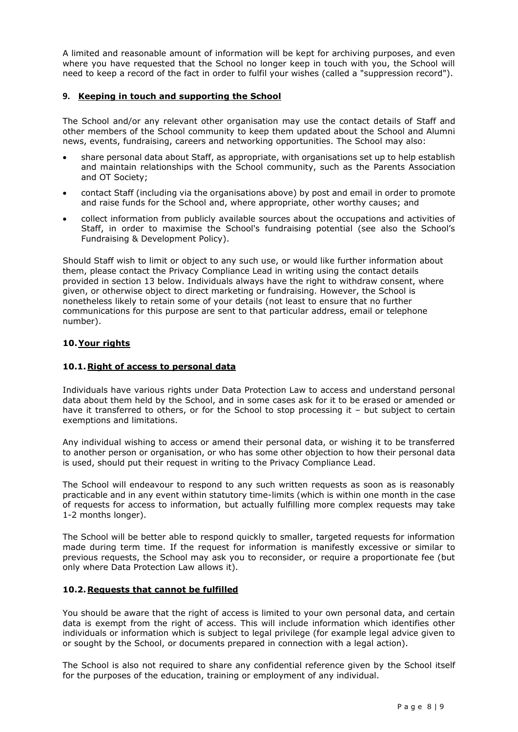A limited and reasonable amount of information will be kept for archiving purposes, and even where you have requested that the School no longer keep in touch with you, the School will need to keep a record of the fact in order to fulfil your wishes (called a "suppression record").

### **9. Keeping in touch and supporting the School**

The School and/or any relevant other organisation may use the contact details of Staff and other members of the School community to keep them updated about the School and Alumni news, events, fundraising, careers and networking opportunities. The School may also:

- share personal data about Staff, as appropriate, with organisations set up to help establish and maintain relationships with the School community, such as the Parents Association and OT Society;
- contact Staff (including via the organisations above) by post and email in order to promote and raise funds for the School and, where appropriate, other worthy causes; and
- collect information from publicly available sources about the occupations and activities of Staff, in order to maximise the School's fundraising potential (see also the School's Fundraising & Development Policy).

Should Staff wish to limit or object to any such use, or would like further information about them, please contact the Privacy Compliance Lead in writing using the contact details provided in section 13 below. Individuals always have the right to withdraw consent, where given, or otherwise object to direct marketing or fundraising. However, the School is nonetheless likely to retain some of your details (not least to ensure that no further communications for this purpose are sent to that particular address, email or telephone number).

#### **10.Your rights**

#### **10.1.Right of access to personal data**

Individuals have various rights under Data Protection Law to access and understand personal data about them held by the School, and in some cases ask for it to be erased or amended or have it transferred to others, or for the School to stop processing it - but subject to certain exemptions and limitations.

Any individual wishing to access or amend their personal data, or wishing it to be transferred to another person or organisation, or who has some other objection to how their personal data is used, should put their request in writing to the Privacy Compliance Lead.

The School will endeavour to respond to any such written requests as soon as is reasonably practicable and in any event within statutory time-limits (which is within one month in the case of requests for access to information, but actually fulfilling more complex requests may take 1-2 months longer).

The School will be better able to respond quickly to smaller, targeted requests for information made during term time. If the request for information is manifestly excessive or similar to previous requests, the School may ask you to reconsider, or require a proportionate fee (but only where Data Protection Law allows it).

#### **10.2.Requests that cannot be fulfilled**

You should be aware that the right of access is limited to your own personal data, and certain data is exempt from the right of access. This will include information which identifies other individuals or information which is subject to legal privilege (for example legal advice given to or sought by the School, or documents prepared in connection with a legal action).

The School is also not required to share any confidential reference given by the School itself for the purposes of the education, training or employment of any individual.